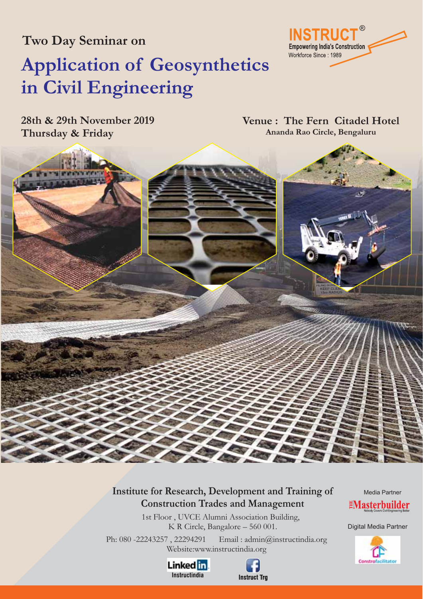**Two Day Seminar on**

# **Application of Geosynthetics in Civil Engineering**

**28th & 29th November 2019 Thursday & Friday**

**Venue : The Fern Citadel Hotel Ananda Rao Circle, Bengaluru**

**Empowering India's Construction** 

Workforce Since: 1989

®

**W** 



1st Floor , UVCE Alumni Association Building, K R Circle, Bangalore – 560 001.

Ph: 080 -22243257 , 22294291 Email : admin@instructindia.org Website:www.instructindia.org





Media Partner **EMasterbuilder** 

Digital Media Partner

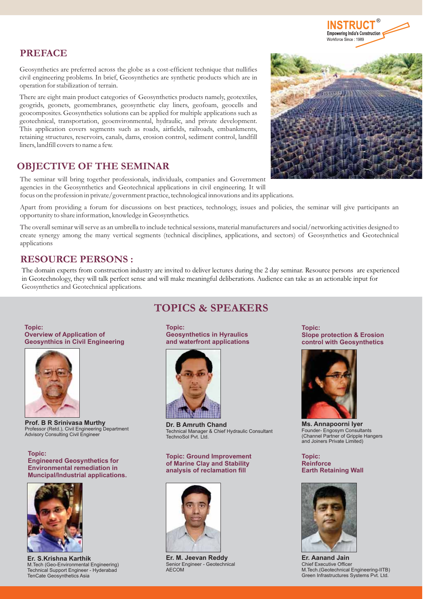

# **PREFACE**

Geosynthetics are preferred across the globe as a cost-efficient technique that nullifies civil engineering problems. In brief, Geosynthetics are synthetic products which are in operation for stabilization of terrain.

There are eight main product categories of Geosynthetics products namely, geotextiles, geogrids, geonets, geomembranes, geosynthetic clay liners, geofoam, geocells and geocomposites. Geosynthetics solutions can be applied for multiple applications such as geotechnical, transportation, geoenvironmental, hydraulic, and private development. This application covers segments such as roads, airfields, railroads, embankments, retaining structures, reservoirs, canals, dams, erosion control, sediment control, landfill liners, landfill covers to name a few.

# **OBJECTIVE OF THE SEMINAR**

The seminar will bring together professionals, individuals, companies and Government agencies in the Geosynthetics and Geotechnical applications in civil engineering. It will focus on the profession in private/government practice, technological innovations and its applications.

Apart from providing a forum for discussions on best practices, technology, issues and policies, the seminar will give participants an opportunity to share information, knowledge in Geosynthetics.

The overall seminar will serve as an umbrella to include technical sessions, material manufacturers and social/networking activities designed to create synergy among the many vertical segments (technical disciplines, applications, and sectors) of Geosynthetics and Geotechnical applications

# **RESOURCE PERSONS :**

The domain experts from construction industry are invited to deliver lectures during the 2 day seminar. Resource persons are experienced in Geotechnology, they will talk perfect sense and will make meaningful deliberations. Audience can take as an actionable input for Geosynthetics and Geotechnical applications.

**Topic: Overview of Application of Geosynthics in Civil Engineering**



Professor (Retd.), Civil Engineering Department Advisory Consulting Civil Engineer **Prof. B R Srinivasa Murthy**

**Topic: Engineered Geosynthetics for Environmental remediation in Muncipal/Industrial applications.**



**Er. S.Krishna Karthik** M.Tech (Geo-Environmental Engineering) Technical Support Engineer - Hyderabad TenCate Geosynthetics Asia

**TOPICS & SPEAKERS**

**Topic: Geosynthetics in Hyraulics and waterfront applications**



**Dr. B Amruth Chand** Technical Manager & Chief Hydraulic Consultant TechnoSol Pvt. Ltd.

**Topic: Ground Improvement of Marine Clay and Stability analysis of reclamation fill**



**Er. M. Jeevan Reddy** Senior Engineer - Geotechnical AECOM

**Topic: Slope protection & Erosion control with Geosynthetics**



**Ms. Annapoorni Iyer** Founder- Engosym Consultants (Channel Partner of Gripple Hangers and Joiners Private Limited)

**Topic: Reinforce Earth Retaining Wall**



Chief Executive Officer M.Tech.(Geotechnical Engineering-IITB) Green Infrastructures Systems Pvt. Ltd. **Er. Aanand Jain**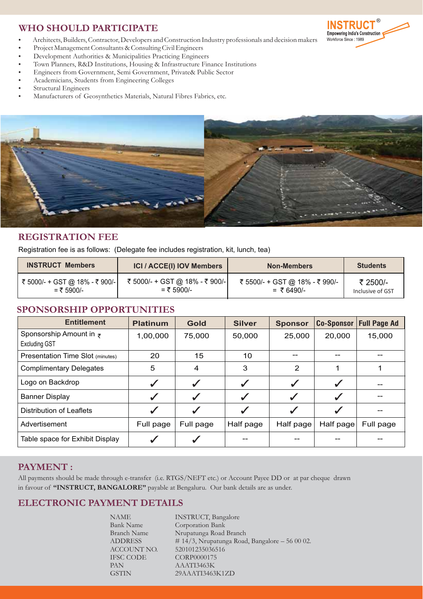# **WHO SHOULD PARTICIPATE**

- -Architects, Builders, Contractor, Developers and Construction Industry professionals and decision makers
- Project Management Consultants & Consulting Civil Engineers -
- Development Authorities & Municipalities Practicing Engineers -
- Town Planners, R&D Institutions, Housing & Infrastructure Finance Institutions -
- Engineers from Government, Semi Government, Private& Public Sector -
- Academicians, Students from Engineering Colleges -
- Structural Engineers -
- Manufacturers of Geosynthetics Materials, Natural Fibres Fabrics, etc.



# **REGISTRATION FEE**

Registration fee is as follows: (Delegate fee includes registration, kit, lunch, tea)

| <b>INSTRUCT Members</b>        | <b>ICI / ACCE(I) IOV Members</b> | <b>Non-Members</b>             | <b>Students</b>  |  |  |
|--------------------------------|----------------------------------|--------------------------------|------------------|--|--|
| ₹ 5000/- + GST @ 18% - ₹ 900/- | ₹ 5000/- + GST @ 18% - ₹ 900/-   | ₹ 5500/- + GST @ 18% - ₹ 990/- | ₹ 2500/-         |  |  |
| = ₹ 5900/-                     | $=$ ₹ 5900/-                     | $=$ ₹ 6490/-                   | Inclusive of GST |  |  |

### **SPONSORSHIP OPPORTUNITIES**

| <b>Entitlement</b>                                      | <b>Platinum</b> | Gold         | <b>Silver</b> | <b>Sponsor</b>          | <b>Co-Sponsor</b> | <b>Full Page Ad</b> |  |  |
|---------------------------------------------------------|-----------------|--------------|---------------|-------------------------|-------------------|---------------------|--|--|
| Sponsorship Amount in $\bar{z}$<br><b>Excluding GST</b> | 1,00,000        | 75,000       | 50,000        | 25,000                  | 20,000            | 15,000              |  |  |
| <b>Presentation Time Slot (minutes)</b>                 | 20              | 15           | 10            | --                      |                   |                     |  |  |
| <b>Complimentary Delegates</b>                          | 5               | 4            | 3             | 2                       | 1                 |                     |  |  |
| Logo on Backdrop                                        |                 | ✓            |               |                         |                   |                     |  |  |
| <b>Banner Display</b>                                   | ✔               |              |               | $\overline{\mathbf{v}}$ |                   |                     |  |  |
| Distribution of Leaflets                                | ✓               | $\checkmark$ |               | ✓                       | ✔                 |                     |  |  |
| Advertisement                                           | Full page       | Full page    | Half page     | Half page               | Half page         | Full page           |  |  |
| Table space for Exhibit Display                         |                 |              |               |                         |                   |                     |  |  |

### **PAYMENT :**

All payments should be made through e-transfer (i.e. RTGS/NEFT etc.) or Account Payee DD or at par cheque drawn in favour of "INSTRUCT, BANGALORE" payable at Bengaluru. Our bank details are as under.

# **ELECTRONIC PAYMENT DETAILS**

| NAME               | <b>INSTRUCT</b> , Bangalore                    |
|--------------------|------------------------------------------------|
| <b>Bank Name</b>   | Corporation Bank                               |
| <b>Branch Name</b> | Nrupatunga Road Branch                         |
| <b>ADDRESS</b>     | # 14/3, Nrupatunga Road, Bangalore $-560002$ . |
| ACCOUNT NO.        | 520101235036516                                |
| IFSC CODE          | CORP0000175                                    |
| PAN                | AAATI3463K                                     |
| <b>GSTIN</b>       | 29AAATI3463K1ZD                                |
|                    |                                                |

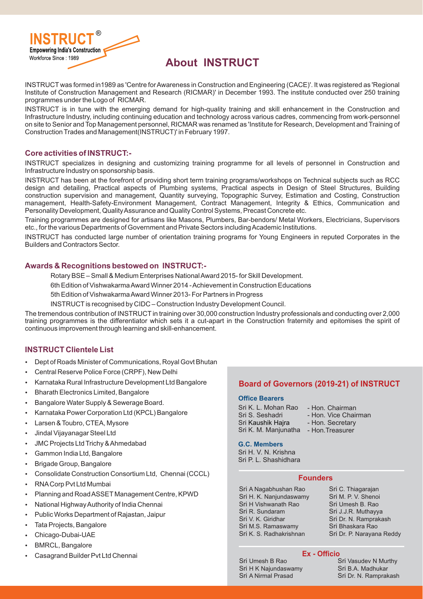

# **About INSTRUCT**

INSTRUCT was formed in1989 as 'Centre forAwareness in Construction and Engineering (CACE)'. It was registered as 'Regional Institute of Construction Management and Research (RICMAR)' in December 1993. The institute conducted over 250 training programmes under the Logo of RICMAR.

INSTRUCT is in tune with the emerging demand for high-quality training and skill enhancement in the Construction and Infrastructure Industry, including continuing education and technology across various cadres, commencing from work-personnel on site to Senior and Top Management personnel, RICMAR was renamed as 'Institute for Research, Development and Training of Construction Trades and Management(INSTRUCT)' in February 1997.

### **Core activities of INSTRUCT:-**

INSTRUCT specializes in designing and customizing training programme for all levels of personnel in Construction and Infrastructure Industry on sponsorship basis.

INSTRUCT has been at the forefront of providing short term training programs/workshops on Technical subjects such as RCC design and detailing, Practical aspects of Plumbing systems, Practical aspects in Design of Steel Structures, Building construction supervision and management, Quantity surveying, Topographic Survey, Estimation and Costing, Construction management, Health-Safety-Environment Management, Contract Management, Integrity & Ethics, Communication and Personality Development, QualityAssurance and Quality Control Systems, Precast Concrete etc.

Training programmes are designed for artisans like Masons, Plumbers, Bar-bendors/ Metal Workers, Electricians, Supervisors etc., for the various Departments of Government and Private Sectors including Academic Institutions.

INSTRUCT has conducted large number of orientation training programs for Young Engineers in reputed Corporates in the Builders and Contractors Sector.

### **Awards & Recognitions bestowed on INSTRUCT:-**

Rotary BSE – Small & Medium Enterprises NationalAward 2015- for Skill Development.

6th Edition of VishwakarmaAward Winner 2014 -Achievement in Construction Educations

5th Edition of VishwakarmaAward Winner 2013- For Partners in Progress

INSTRUCT is recognised by CIDC – Construction Industry Development Council.

The tremendous contribution of INSTRUCT in training over 30,000 construction Industry professionals and conducting over 2,000 training programmes is the differentiator which sets it a cut-apart in the Construction fraternity and epitomises the spirit of continuous improvement through learning and skill-enhancement.

### **INSTRUCT Clientele List**

- Dept of Roads Minister of Communications, Royal Govt Bhutan
- Central Reserve Police Force (CRPF), New Delhi
- Karnataka Rural Infrastructure Development Ltd Bangalore
- Bharath Electronics Limited, Bangalore
- Bangalore Water Supply & Sewerage Board.
- Karnataka Power Corporation Ltd (KPCL) Bangalore
- Larsen & Toubro, CTEA, Mysore
- Jindal Vijayanagar Steel Ltd
- JMC Projects Ltd Trichy &Ahmedabad
- Gammon India Ltd, Bangalore
- Brigade Group, Bangalore
- Consolidate Construction Consortium Ltd, Chennai (CCCL)
- RNACorp Pvt Ltd Mumbai
- Planning and RoadASSET Management Centre, KPWD
- National HighwayAuthority of India Chennai
- Public Works Department of Rajastan, Jaipur
- Tata Projects, Bangalore
- Chicago-Dubai-UAE
- BMRCL, Bangalore
- Casagrand Builder Pvt Ltd Chennai

### **Board of Governors (2019-21) of INSTRUCT**

### **Office Bearers**

| Sri K. L. Mohan Rao  | - Hon. Chairman      |
|----------------------|----------------------|
| Sri S. Seshadri      | - Hon. Vice Chairman |
| Sri Kaushik Hajra    | - Hon. Secretary     |
| Sri K. M. Manjunatha | - Hon. Treasurer     |

### **G.C. Members**

Sri H. V. N. Krishna Sri P. L. Shashidhara

### **Founders**

Sri A Nagabhushan Rao Sri H. K. Nanjundaswamy Sri H Vishwanath Rao Sri R. Sundaram Sri V. K. Giridhar Sri M.S. Ramaswamy Sri K. S. Radhakrishnan

Sri C. Thiagarajan Sri M. P. V. Shenoi Sri Umesh B. Rao Sri J.J.R. Muthayya Sri Dr. N. Ramprakash Sri Bhaskara Rao Sri Dr. P. Narayana Reddy

### **Ex - Officio**

Sri Umesh B Rao Sri H K Najundaswamy Sri A Nirmal Prasad

Sri Vasudev N Murthy Sri B.A. Madhukar Sri Dr. N. Ramprakash